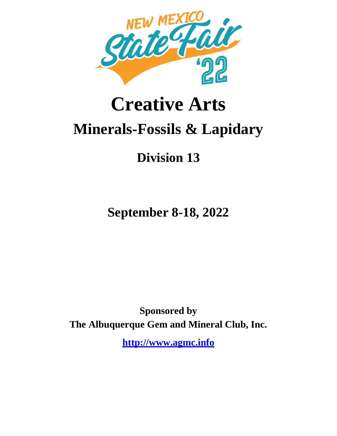

# **Creative Arts Minerals-Fossils & Lapidary**

## **Division 13**

**September 8-18, 2022**

**Sponsored by The Albuquerque Gem and Mineral Club, Inc.**

**http://www.agmc.info**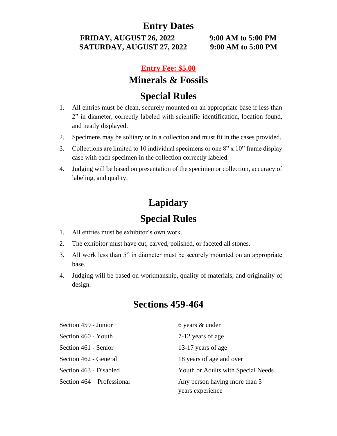## **Entry Dates**

**FRIDAY, AUGUST 26, 2022 9:00 AM to 5:00 PM SATURDAY, AUGUST 27, 2022 9:00 AM to 5:00 PM**

#### **Entry Fee: \$5.00**

## **Minerals & Fossils**

## **Special Rules**

- 1. All entries must be clean, securely mounted on an appropriate base if less than 2" in diameter, correctly labeled with scientific identification, location found, and neatly displayed.
- 2. Specimens may be solitary or in a collection and must fit in the cases provided.
- 3. Collections are limited to 10 individual specimens or one 8" x 10" frame display case with each specimen in the collection correctly labeled.
- 4. Judging will be based on presentation of the specimen or collection, accuracy of labeling, and quality.

## **Lapidary Special Rules**

- 1. All entries must be exhibitor's own work.
- 2. The exhibitor must have cut, carved, polished, or faceted all stones.
- 3. All work less than 5" in diameter must be securely mounted on an appropriate base.
- 4. Judging will be based on workmanship, quality of materials, and originality of design.

## **Sections 459-464**

| Section 459 - Junior       | 6 years & under                                   |
|----------------------------|---------------------------------------------------|
| Section 460 - Youth        | 7-12 years of age                                 |
| Section 461 - Senior       | 13-17 years of age                                |
| Section 462 - General      | 18 years of age and over                          |
| Section 463 - Disabled     | Youth or Adults with Special Needs                |
| Section 464 – Professional | Any person having more than 5<br>years experience |